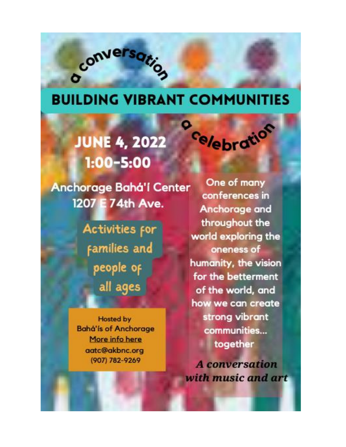### **BUILDING VIBRANT COMMUNITIES**

# **JUNE 4, 2022**  $1:00 - 5:00$

conversation

 $\overline{a}$ 

Anchorage Bahá'í Center 1207 E 74th Ave.

> Activities for **Families** and people of all ages

**Hosted by Bahá'ís of Anchorage** More info here aatc@akbnc.org (907) 782-9269

One of many conferences in Anchorage and throughout the world exploring the oneness of humanity, the vision for the betterment of the world, and how we can create strong vibrant communities... together

Celebration

**A** conversation with music and art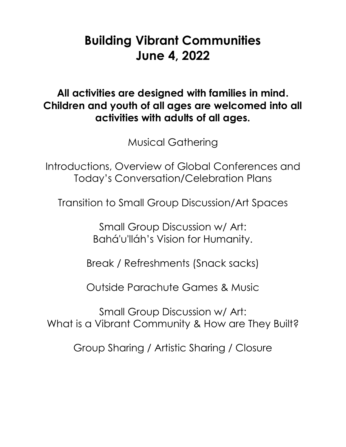#### **Building Vibrant Communities June 4, 2022**

**All activities are designed with families in mind. Children and youth of all ages are welcomed into all activities with adults of all ages.**

Musical Gathering

Introductions, Overview of Global Conferences and Today's Conversation/Celebration Plans

Transition to Small Group Discussion/Art Spaces

Small Group Discussion w/ Art: Bahá'u'lláh's Vision for Humanity.

Break / Refreshments (Snack sacks)

Outside Parachute Games & Music

Small Group Discussion w/ Art: What is a Vibrant Community & How are They Built?

Group Sharing / Artistic Sharing / Closure